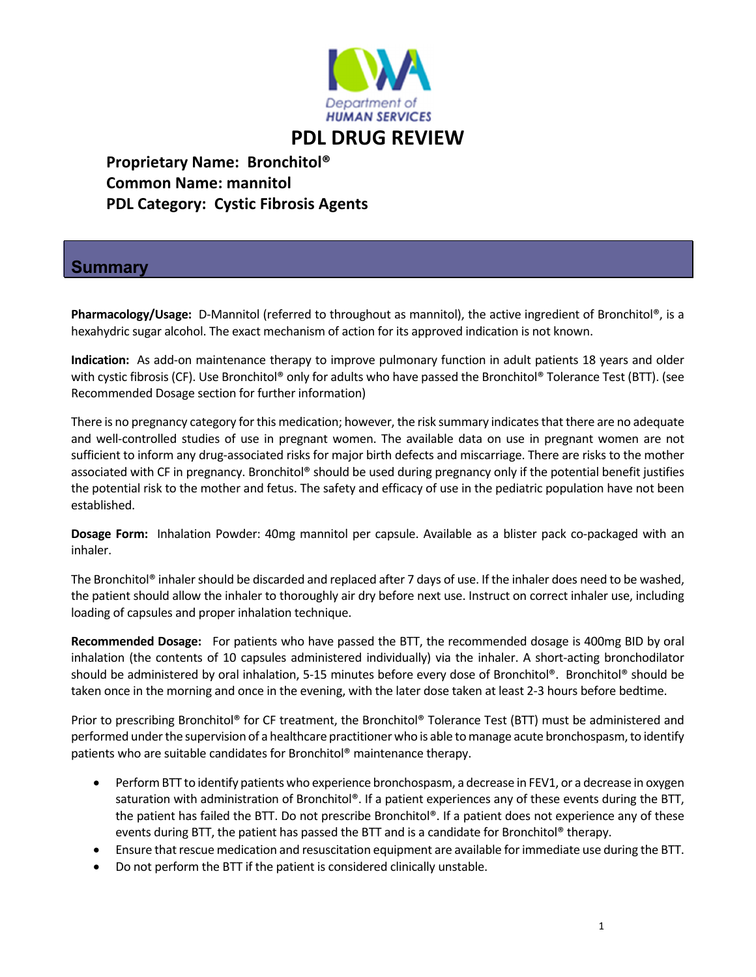

## **PDL DRUG REVIEW**

 **Proprietary Name: Bronchitol® Common Name: mannitol PDL Category: Cystic Fibrosis Agents**

## **Summary**

**Pharmacology/Usage:** D-Mannitol (referred to throughout as mannitol), the active ingredient of Bronchitol®, is a hexahydric sugar alcohol. The exact mechanism of action for its approved indication is not known.

Indication: As add-on maintenance therapy to improve pulmonary function in adult patients 18 years and older with cystic fibrosis (CF). Use Bronchitol® only for adults who have passed the Bronchitol® Tolerance Test (BTT). (see Recommended Dosage section for further information)

There is no pregnancy category for this medication; however, the risk summary indicates that there are no adequate and well‐controlled studies of use in pregnant women. The available data on use in pregnant women are not sufficient to inform any drug-associated risks for major birth defects and miscarriage. There are risks to the mother associated with CF in pregnancy. Bronchitol® should be used during pregnancy only if the potential benefit justifies the potential risk to the mother and fetus. The safety and efficacy of use in the pediatric population have not been established.

**Dosage Form:** Inhalation Powder: 40mg mannitol per capsule. Available as a blister pack co‐packaged with an inhaler.

The Bronchitol<sup>®</sup> inhaler should be discarded and replaced after 7 days of use. If the inhaler does need to be washed, the patient should allow the inhaler to thoroughly air dry before next use. Instruct on correct inhaler use, including loading of capsules and proper inhalation technique.

**Recommended Dosage:** For patients who have passed the BTT, the recommended dosage is 400mg BID by oral inhalation (the contents of 10 capsules administered individually) via the inhaler. A short-acting bronchodilator should be administered by oral inhalation, 5‐15 minutes before every dose of Bronchitol®. Bronchitol® should be taken once in the morning and once in the evening, with the later dose taken at least 2‐3 hours before bedtime.

Prior to prescribing Bronchitol® for CF treatment, the Bronchitol® Tolerance Test (BTT) must be administered and performed under the supervision of a healthcare practitioner who is able to manage acute bronchospasm, to identify patients who are suitable candidates for Bronchitol® maintenance therapy.

- Perform BTT to identify patients who experience bronchospasm, a decrease in FEV1, or a decrease in oxygen saturation with administration of Bronchitol®. If a patient experiences any of these events during the BTT, the patient has failed the BTT. Do not prescribe Bronchitol®. If a patient does not experience any of these events during BTT, the patient has passed the BTT and is a candidate for Bronchitol® therapy.
- Ensure that rescue medication and resuscitation equipment are available for immediate use during the BTT.
- Do not perform the BTT if the patient is considered clinically unstable.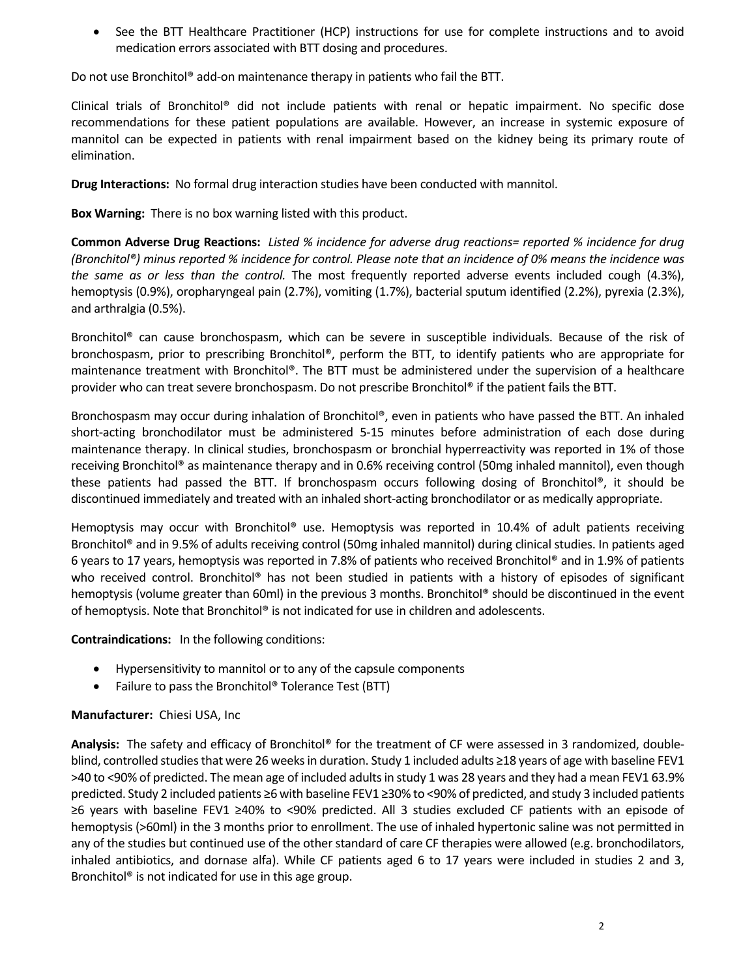• See the BTT Healthcare Practitioner (HCP) instructions for use for complete instructions and to avoid medication errors associated with BTT dosing and procedures.

Do not use Bronchitol® add‐on maintenance therapy in patients who fail the BTT.

Clinical trials of Bronchitol® did not include patients with renal or hepatic impairment. No specific dose recommendations for these patient populations are available. However, an increase in systemic exposure of mannitol can be expected in patients with renal impairment based on the kidney being its primary route of elimination.

**Drug Interactions:** No formal drug interaction studies have been conducted with mannitol.

**Box Warning:** There is no box warning listed with this product.

Common Adverse Drug Reactions: Listed % incidence for adverse drug reactions= reported % incidence for drug (Bronchitol®) minus reported % incidence for control. Please note that an incidence of 0% means the incidence was *the same as or less than the control.* The most frequently reported adverse events included cough (4.3%), hemoptysis (0.9%), oropharyngeal pain (2.7%), vomiting (1.7%), bacterial sputum identified (2.2%), pyrexia (2.3%), and arthralgia (0.5%).

Bronchitol® can cause bronchospasm, which can be severe in susceptible individuals. Because of the risk of bronchospasm, prior to prescribing Bronchitol®, perform the BTT, to identify patients who are appropriate for maintenance treatment with Bronchitol®. The BTT must be administered under the supervision of a healthcare provider who can treat severe bronchospasm. Do not prescribe Bronchitol® if the patient fails the BTT.

Bronchospasm may occur during inhalation of Bronchitol®, even in patients who have passed the BTT. An inhaled short-acting bronchodilator must be administered 5-15 minutes before administration of each dose during maintenance therapy. In clinical studies, bronchospasm or bronchial hyperreactivity was reported in 1% of those receiving Bronchitol® as maintenance therapy and in 0.6% receiving control (50mg inhaled mannitol), even though these patients had passed the BTT. If bronchospasm occurs following dosing of Bronchitol®, it should be discontinued immediately and treated with an inhaled short‐acting bronchodilator or as medically appropriate.

Hemoptysis may occur with Bronchitol® use. Hemoptysis was reported in 10.4% of adult patients receiving Bronchitol® and in 9.5% of adults receiving control (50mg inhaled mannitol) during clinical studies. In patients aged 6 years to 17 years, hemoptysis was reported in 7.8% of patients who received Bronchitol® and in 1.9% of patients who received control. Bronchitol<sup>®</sup> has not been studied in patients with a history of episodes of significant hemoptysis (volume greater than 60ml) in the previous 3 months. Bronchitol® should be discontinued in the event of hemoptysis. Note that Bronchitol® is not indicated for use in children and adolescents.

**Contraindications:** In the following conditions:

- Hypersensitivity to mannitol or to any of the capsule components
- Failure to pass the Bronchitol® Tolerance Test (BTT)

## **Manufacturer:** Chiesi USA, Inc

Analysis: The safety and efficacy of Bronchitol<sup>®</sup> for the treatment of CF were assessed in 3 randomized, doubleblind, controlled studies that were 26 weeks in duration. Study 1 included adults ≥18 years of age with baseline FEV1 >40 to ˂90% of predicted. The mean age of included adultsin study 1 was 28 years and they had a mean FEV1 63.9% predicted. Study 2 included patients ≥6 with baseline FEV1 ≥30% to <90% of predicted, and study 3 included patients ≥6 years with baseline FEV1 ≥40% to <90% predicted. All 3 studies excluded CF patients with an episode of hemoptysis (>60ml) in the 3 months prior to enrollment. The use of inhaled hypertonic saline was not permitted in any of the studies but continued use of the other standard of care CF therapies were allowed (e.g. bronchodilators, inhaled antibiotics, and dornase alfa). While CF patients aged 6 to 17 years were included in studies 2 and 3, Bronchitol® is not indicated for use in this age group.